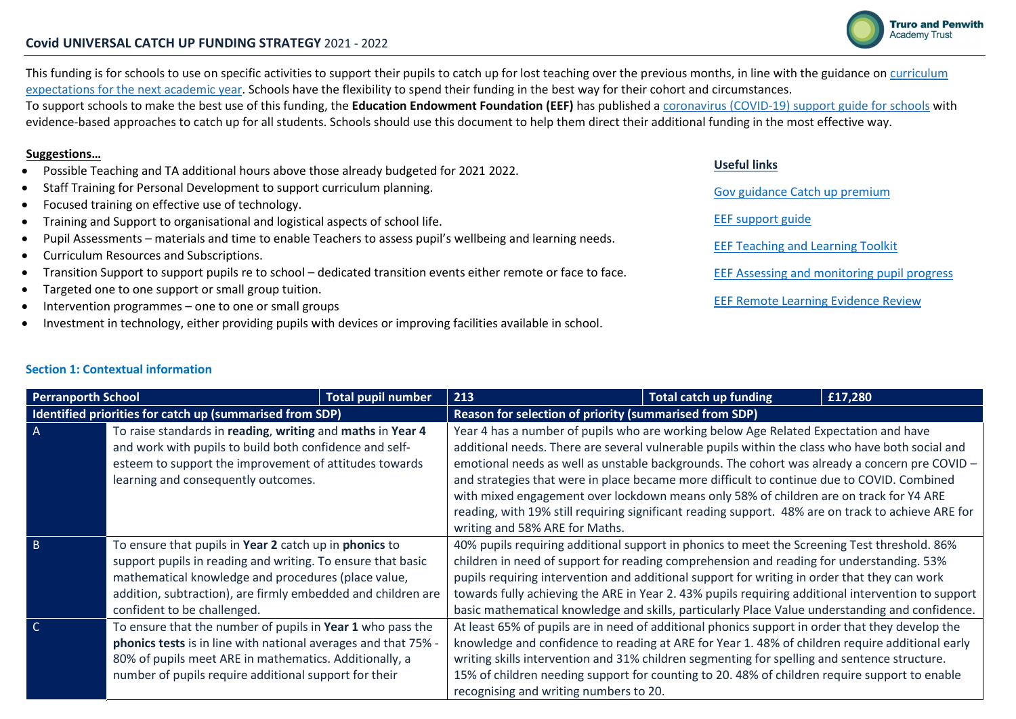

Useful links

EEF support guide

Gov guidance Catch up premium

EEF Teaching and Learning Toolkit

EEF Assessing and monitoring pupil progress

EEF Remote Learning Evidence Review

## Covid UNIVERSAL CATCH UP FUNDING STRATEGY 2021 - 2022

This funding is for schools to use on specific activities to support their pupils to catch up for lost teaching over the previous months, in line with the guidance on curriculum expectations for the next academic year. Schools have the flexibility to spend their funding in the best way for their cohort and circumstances.

To support schools to make the best use of this funding, the Education Endowment Foundation (EEF) has published a coronavirus (COVID-19) support guide for schools with evidence-based approaches to catch up for all students. Schools should use this document to help them direct their additional funding in the most effective way.

## Suggestions…

- Possible Teaching and TA additional hours above those already budgeted for 2021 2022.
- Staff Training for Personal Development to support curriculum planning.
- Focused training on effective use of technology.
- Training and Support to organisational and logistical aspects of school life.
- Pupil Assessments materials and time to enable Teachers to assess pupil's wellbeing and learning needs.
- Curriculum Resources and Subscriptions.
- Transition Support to support pupils re to school dedicated transition events either remote or face to face.
- Targeted one to one support or small group tuition.
- Intervention programmes one to one or small groups
- Investment in technology, either providing pupils with devices or improving facilities available in school.

## Section 1: Contextual information

| <b>Perranporth School</b> |                                                                | <b>Total pupil number</b> | 213                                                                                                | <b>Total catch up funding</b> | £17,280 |  |  |  |
|---------------------------|----------------------------------------------------------------|---------------------------|----------------------------------------------------------------------------------------------------|-------------------------------|---------|--|--|--|
|                           | Identified priorities for catch up (summarised from SDP)       |                           | Reason for selection of priority (summarised from SDP)                                             |                               |         |  |  |  |
| $\overline{A}$            | To raise standards in reading, writing and maths in Year 4     |                           | Year 4 has a number of pupils who are working below Age Related Expectation and have               |                               |         |  |  |  |
|                           | and work with pupils to build both confidence and self-        |                           | additional needs. There are several vulnerable pupils within the class who have both social and    |                               |         |  |  |  |
|                           | esteem to support the improvement of attitudes towards         |                           | emotional needs as well as unstable backgrounds. The cohort was already a concern pre COVID -      |                               |         |  |  |  |
|                           | learning and consequently outcomes.                            |                           | and strategies that were in place became more difficult to continue due to COVID. Combined         |                               |         |  |  |  |
|                           |                                                                |                           | with mixed engagement over lockdown means only 58% of children are on track for Y4 ARE             |                               |         |  |  |  |
|                           |                                                                |                           | reading, with 19% still requiring significant reading support. 48% are on track to achieve ARE for |                               |         |  |  |  |
|                           |                                                                |                           | writing and 58% ARE for Maths.                                                                     |                               |         |  |  |  |
| $\overline{B}$            | To ensure that pupils in Year 2 catch up in phonics to         |                           | 40% pupils requiring additional support in phonics to meet the Screening Test threshold. 86%       |                               |         |  |  |  |
|                           | support pupils in reading and writing. To ensure that basic    |                           | children in need of support for reading comprehension and reading for understanding. 53%           |                               |         |  |  |  |
|                           | mathematical knowledge and procedures (place value,            |                           | pupils requiring intervention and additional support for writing in order that they can work       |                               |         |  |  |  |
|                           | addition, subtraction), are firmly embedded and children are   |                           | towards fully achieving the ARE in Year 2.43% pupils requiring additional intervention to support  |                               |         |  |  |  |
|                           | confident to be challenged.                                    |                           | basic mathematical knowledge and skills, particularly Place Value understanding and confidence.    |                               |         |  |  |  |
| $\overline{C}$            | To ensure that the number of pupils in Year 1 who pass the     |                           | At least 65% of pupils are in need of additional phonics support in order that they develop the    |                               |         |  |  |  |
|                           | phonics tests is in line with national averages and that 75% - |                           | knowledge and confidence to reading at ARE for Year 1.48% of children require additional early     |                               |         |  |  |  |
|                           | 80% of pupils meet ARE in mathematics. Additionally, a         |                           | writing skills intervention and 31% children segmenting for spelling and sentence structure.       |                               |         |  |  |  |
|                           | number of pupils require additional support for their          |                           | 15% of children needing support for counting to 20.48% of children require support to enable       |                               |         |  |  |  |
|                           |                                                                |                           | recognising and writing numbers to 20.                                                             |                               |         |  |  |  |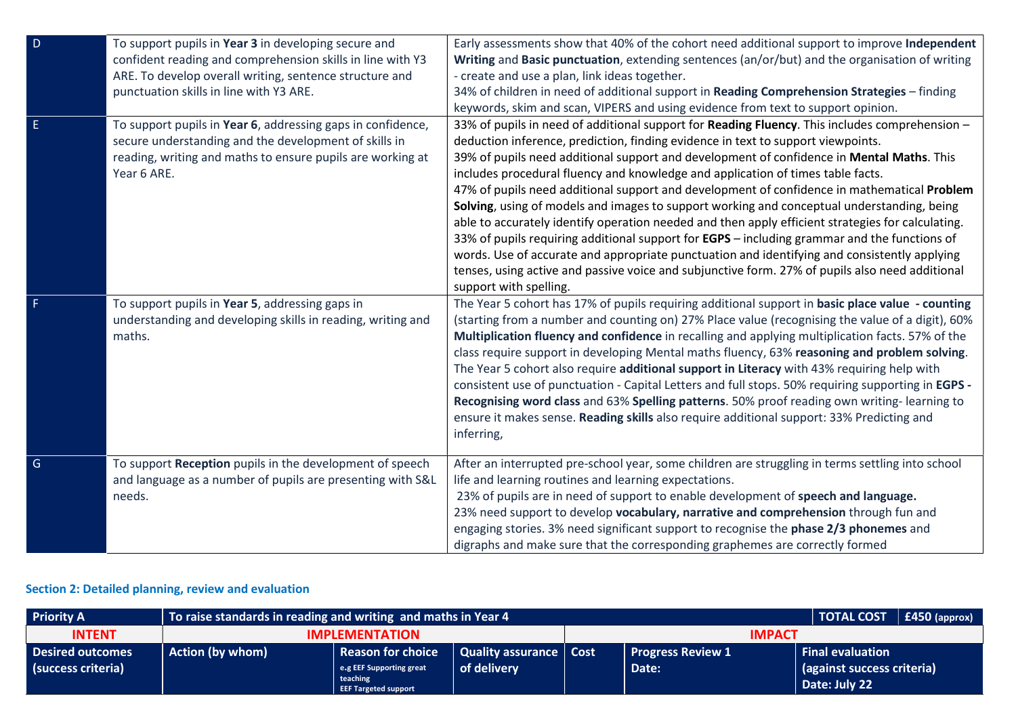| $\overline{D}$ | To support pupils in Year 3 in developing secure and<br>confident reading and comprehension skills in line with Y3<br>ARE. To develop overall writing, sentence structure and<br>punctuation skills in line with Y3 ARE. | Early assessments show that 40% of the cohort need additional support to improve Independent<br>Writing and Basic punctuation, extending sentences (an/or/but) and the organisation of writing<br>- create and use a plan, link ideas together.<br>34% of children in need of additional support in Reading Comprehension Strategies - finding<br>keywords, skim and scan, VIPERS and using evidence from text to support opinion.                                                                                                                                                                                                                                                                                                                                                                                                                                                                                                                                                                       |
|----------------|--------------------------------------------------------------------------------------------------------------------------------------------------------------------------------------------------------------------------|----------------------------------------------------------------------------------------------------------------------------------------------------------------------------------------------------------------------------------------------------------------------------------------------------------------------------------------------------------------------------------------------------------------------------------------------------------------------------------------------------------------------------------------------------------------------------------------------------------------------------------------------------------------------------------------------------------------------------------------------------------------------------------------------------------------------------------------------------------------------------------------------------------------------------------------------------------------------------------------------------------|
| Ε              | To support pupils in Year 6, addressing gaps in confidence,<br>secure understanding and the development of skills in<br>reading, writing and maths to ensure pupils are working at<br>Year 6 ARE.                        | 33% of pupils in need of additional support for Reading Fluency. This includes comprehension -<br>deduction inference, prediction, finding evidence in text to support viewpoints.<br>39% of pupils need additional support and development of confidence in Mental Maths. This<br>includes procedural fluency and knowledge and application of times table facts.<br>47% of pupils need additional support and development of confidence in mathematical Problem<br>Solving, using of models and images to support working and conceptual understanding, being<br>able to accurately identify operation needed and then apply efficient strategies for calculating.<br>33% of pupils requiring additional support for <b>EGPS</b> – including grammar and the functions of<br>words. Use of accurate and appropriate punctuation and identifying and consistently applying<br>tenses, using active and passive voice and subjunctive form. 27% of pupils also need additional<br>support with spelling. |
|                | To support pupils in Year 5, addressing gaps in<br>understanding and developing skills in reading, writing and<br>maths.                                                                                                 | The Year 5 cohort has 17% of pupils requiring additional support in basic place value - counting<br>(starting from a number and counting on) 27% Place value (recognising the value of a digit), 60%<br>Multiplication fluency and confidence in recalling and applying multiplication facts. 57% of the<br>class require support in developing Mental maths fluency, 63% reasoning and problem solving.<br>The Year 5 cohort also require additional support in Literacy with 43% requiring help with<br>consistent use of punctuation - Capital Letters and full stops. 50% requiring supporting in EGPS -<br>Recognising word class and 63% Spelling patterns. 50% proof reading own writing-learning to<br>ensure it makes sense. Reading skills also require additional support: 33% Predicting and<br>inferring,                                                                                                                                                                                   |
| $\mathsf{G}$   | To support Reception pupils in the development of speech<br>and language as a number of pupils are presenting with S&L<br>needs.                                                                                         | After an interrupted pre-school year, some children are struggling in terms settling into school<br>life and learning routines and learning expectations.<br>23% of pupils are in need of support to enable development of speech and language.<br>23% need support to develop vocabulary, narrative and comprehension through fun and<br>engaging stories. 3% need significant support to recognise the phase 2/3 phonemes and<br>digraphs and make sure that the corresponding graphemes are correctly formed                                                                                                                                                                                                                                                                                                                                                                                                                                                                                          |

## Section 2: Detailed planning, review and evaluation

| <b>Priority A</b>                             | To raise standards in reading and writing and maths in Year 4 | <b>TOTAL COST</b>                                                                        | $\vert$ £450 (approx)                          |               |                                   |                                                                        |  |
|-----------------------------------------------|---------------------------------------------------------------|------------------------------------------------------------------------------------------|------------------------------------------------|---------------|-----------------------------------|------------------------------------------------------------------------|--|
| <b>INTENT</b>                                 |                                                               | <b>IMPLEMENTATION</b>                                                                    |                                                | <b>IMPACT</b> |                                   |                                                                        |  |
| <b>Desired outcomes</b><br>(success criteria) | <b>Action (by whom)</b>                                       | Reason for choice<br>e.g EEF Supporting great<br>teaching<br><b>EEF Targeted support</b> | <b>Quality assurance   Cost</b><br>of delivery |               | <b>Progress Review 1</b><br>Date: | <b>Final evaluation</b><br>(against success criteria)<br>Date: July 22 |  |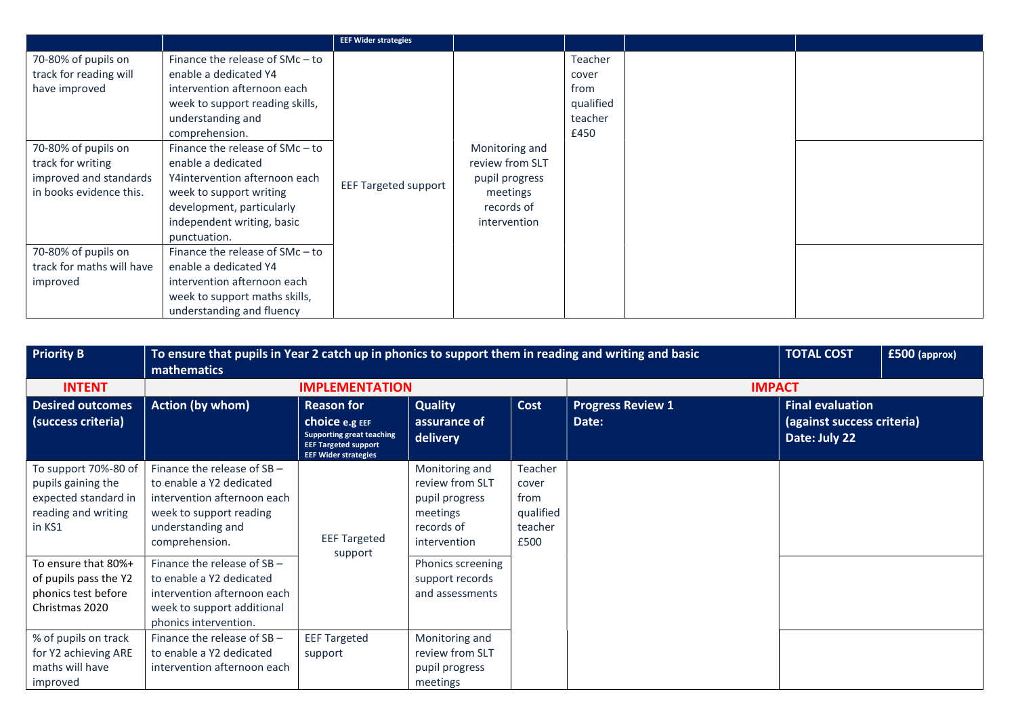|                                                                                       |                                                                                                                                                                                                          | <b>EEF Wider strategies</b> |                                                                             |                                                          |  |
|---------------------------------------------------------------------------------------|----------------------------------------------------------------------------------------------------------------------------------------------------------------------------------------------------------|-----------------------------|-----------------------------------------------------------------------------|----------------------------------------------------------|--|
| 70-80% of pupils on<br>track for reading will<br>have improved<br>70-80% of pupils on | Finance the release of $SMc - to$<br>enable a dedicated Y4<br>intervention afternoon each<br>week to support reading skills,<br>understanding and<br>comprehension.<br>Finance the release of $SMc - to$ |                             | Monitoring and                                                              | Teacher<br>cover<br>from<br>qualified<br>teacher<br>£450 |  |
| track for writing<br>improved and standards<br>in books evidence this.                | enable a dedicated<br>Y4intervention afternoon each<br>week to support writing<br>development, particularly<br>independent writing, basic<br>punctuation.                                                | <b>EEF Targeted support</b> | review from SLT<br>pupil progress<br>meetings<br>records of<br>intervention |                                                          |  |
| 70-80% of pupils on<br>track for maths will have<br>improved                          | Finance the release of $SMc - to$<br>enable a dedicated Y4<br>intervention afternoon each<br>week to support maths skills,<br>understanding and fluency                                                  |                             |                                                                             |                                                          |  |

| <b>Priority B</b>                                                                                   | <b>TOTAL COST</b><br>To ensure that pupils in Year 2 catch up in phonics to support them in reading and writing and basic<br>£500 (approx)<br>mathematics  |                                                                                                                  |                                                                                               |                                                          |                          |                                             |  |  |  |
|-----------------------------------------------------------------------------------------------------|------------------------------------------------------------------------------------------------------------------------------------------------------------|------------------------------------------------------------------------------------------------------------------|-----------------------------------------------------------------------------------------------|----------------------------------------------------------|--------------------------|---------------------------------------------|--|--|--|
| <b>INTENT</b>                                                                                       |                                                                                                                                                            | <b>IMPLEMENTATION</b>                                                                                            |                                                                                               |                                                          |                          | <b>IMPACT</b>                               |  |  |  |
| <b>Desired outcomes</b>                                                                             | Action (by whom)                                                                                                                                           | <b>Reason for</b>                                                                                                | <b>Quality</b>                                                                                | Cost                                                     | <b>Progress Review 1</b> | <b>Final evaluation</b>                     |  |  |  |
| (success criteria)                                                                                  |                                                                                                                                                            | Choice e.g EEF<br><b>Supporting great teaching</b><br><b>EEF Targeted support</b><br><b>EEF Wider strategies</b> | assurance of<br>delivery                                                                      |                                                          | Date:                    | (against success criteria)<br>Date: July 22 |  |  |  |
| To support 70%-80 of<br>pupils gaining the<br>expected standard in<br>reading and writing<br>in KS1 | Finance the release of $SB -$<br>to enable a Y2 dedicated<br>intervention afternoon each<br>week to support reading<br>understanding and<br>comprehension. | <b>EEF Targeted</b><br>support                                                                                   | Monitoring and<br>review from SLT<br>pupil progress<br>meetings<br>records of<br>intervention | Teacher<br>cover<br>from<br>qualified<br>teacher<br>£500 |                          |                                             |  |  |  |
| To ensure that 80%+<br>of pupils pass the Y2<br>phonics test before<br>Christmas 2020               | Finance the release of $SB -$<br>to enable a Y2 dedicated<br>intervention afternoon each<br>week to support additional<br>phonics intervention.            |                                                                                                                  | Phonics screening<br>support records<br>and assessments                                       |                                                          |                          |                                             |  |  |  |
| % of pupils on track<br>for Y2 achieving ARE<br>maths will have<br>improved                         | Finance the release of SB -<br>to enable a Y2 dedicated<br>intervention afternoon each                                                                     | <b>EEF Targeted</b><br>support                                                                                   | Monitoring and<br>review from SLT<br>pupil progress<br>meetings                               |                                                          |                          |                                             |  |  |  |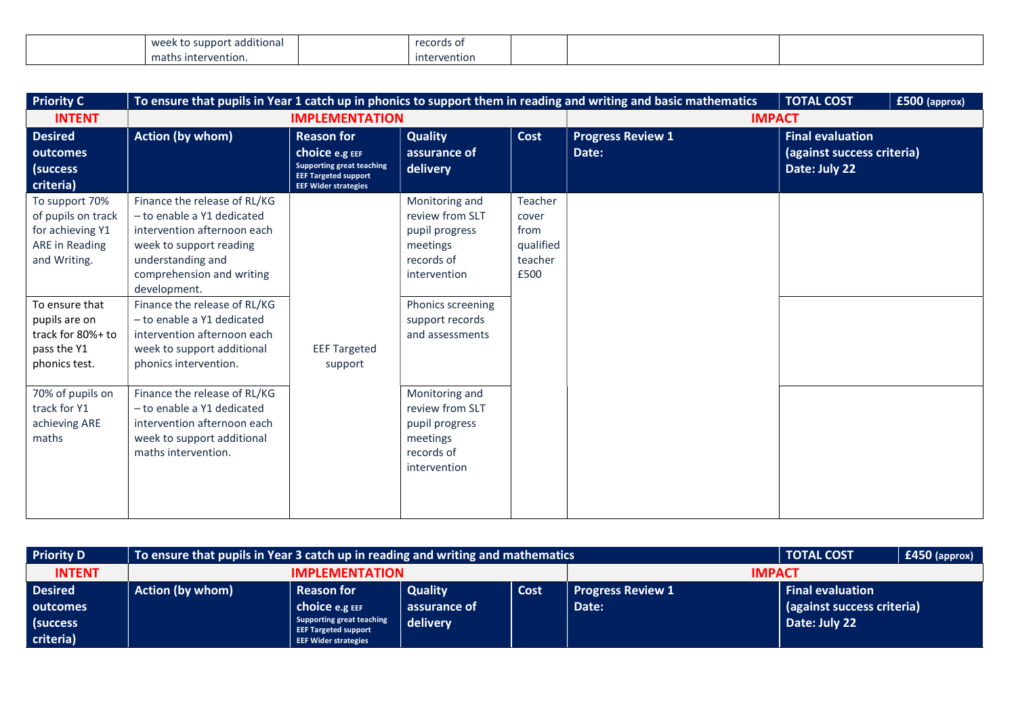| .<br>: additional<br>MQC<br>w<br><b>VV &amp; &amp; L</b> | records of   |  |  |
|----------------------------------------------------------|--------------|--|--|
| maths.<br>intervention.                                  | intervention |  |  |

| <b>Priority C</b>                                                                          |                                                                                                                                                                                        |                                                                                                                                              |                                                                                               |                                                          | To ensure that pupils in Year 1 catch up in phonics to support them in reading and writing and basic mathematics | <b>TOTAL COST</b>                                                      | £500 (approx) |
|--------------------------------------------------------------------------------------------|----------------------------------------------------------------------------------------------------------------------------------------------------------------------------------------|----------------------------------------------------------------------------------------------------------------------------------------------|-----------------------------------------------------------------------------------------------|----------------------------------------------------------|------------------------------------------------------------------------------------------------------------------|------------------------------------------------------------------------|---------------|
| <b>INTENT</b>                                                                              |                                                                                                                                                                                        | <b>IMPLEMENTATION</b>                                                                                                                        |                                                                                               |                                                          |                                                                                                                  | <b>IMPACT</b>                                                          |               |
| <b>Desired</b><br>outcomes<br>(success<br>criteria)                                        | <b>Action (by whom)</b>                                                                                                                                                                | <b>Reason for</b><br><b>choice e.g EEF</b><br><b>Supporting great teaching</b><br><b>EEF Targeted support</b><br><b>EEF Wider strategies</b> | <b>Quality</b><br>assurance of<br>delivery                                                    | Cost                                                     | <b>Progress Review 1</b><br>Date:                                                                                | <b>Final evaluation</b><br>(against success criteria)<br>Date: July 22 |               |
| To support 70%<br>of pupils on track<br>for achieving Y1<br>ARE in Reading<br>and Writing. | Finance the release of RL/KG<br>- to enable a Y1 dedicated<br>intervention afternoon each<br>week to support reading<br>understanding and<br>comprehension and writing<br>development. |                                                                                                                                              | Monitoring and<br>review from SLT<br>pupil progress<br>meetings<br>records of<br>intervention | Teacher<br>cover<br>from<br>qualified<br>teacher<br>£500 |                                                                                                                  |                                                                        |               |
| To ensure that<br>pupils are on<br>track for 80%+ to<br>pass the Y1<br>phonics test.       | Finance the release of RL/KG<br>- to enable a Y1 dedicated<br>intervention afternoon each<br>week to support additional<br>phonics intervention.                                       | <b>EEF Targeted</b><br>support                                                                                                               | Phonics screening<br>support records<br>and assessments                                       |                                                          |                                                                                                                  |                                                                        |               |
| 70% of pupils on<br>track for Y1<br>achieving ARE<br>maths                                 | Finance the release of RL/KG<br>- to enable a Y1 dedicated<br>intervention afternoon each<br>week to support additional<br>maths intervention.                                         |                                                                                                                                              | Monitoring and<br>review from SLT<br>pupil progress<br>meetings<br>records of<br>intervention |                                                          |                                                                                                                  |                                                                        |               |

| <b>Priority D</b> |                         | To ensure that pupils in Year 3 catch up in reading and writing and mathematics |                |               |                          |                            |  |  |  |
|-------------------|-------------------------|---------------------------------------------------------------------------------|----------------|---------------|--------------------------|----------------------------|--|--|--|
| <b>INTENT</b>     |                         | <b>IMPLEMENTATION</b>                                                           |                | <b>IMPACT</b> |                          |                            |  |  |  |
| <b>Desired</b>    | <b>Action (by whom)</b> | <b>Reason for</b>                                                               | <b>Quality</b> | <b>Cost</b>   | <b>Progress Review 1</b> | <b>Final evaluation</b>    |  |  |  |
| <b>Loutcomes</b>  |                         | Choice e.g EEF                                                                  | assurance of   |               | Date:                    | (against success criteria) |  |  |  |
| (success          |                         | <b>Supporting great teaching</b><br><b>EEF Targeted support</b>                 | delivery       |               |                          | Date: July 22              |  |  |  |
| criteria)         |                         | <b>EEF Wider strategies</b>                                                     |                |               |                          |                            |  |  |  |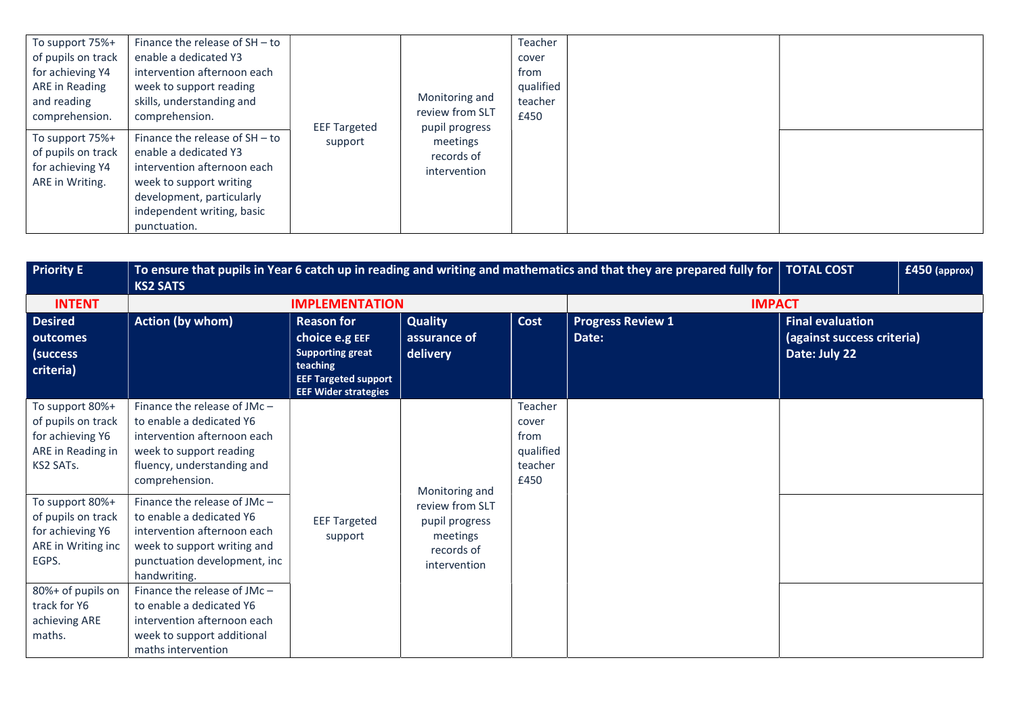| To support 75%+<br>of pupils on track<br>for achieving Y4<br>ARE in Reading<br>and reading<br>comprehension.<br>To support 75%+ | Finance the release of $SH - to$<br>enable a dedicated Y3<br>intervention afternoon each<br>week to support reading<br>skills, understanding and<br>comprehension.<br>Finance the release of SH-to | <b>EEF Targeted</b> | Monitoring and<br>review from SLT<br>pupil progress | Teacher<br>cover<br>from<br>qualified<br>teacher<br>£450 |  |
|---------------------------------------------------------------------------------------------------------------------------------|----------------------------------------------------------------------------------------------------------------------------------------------------------------------------------------------------|---------------------|-----------------------------------------------------|----------------------------------------------------------|--|
| of pupils on track<br>for achieving Y4<br>ARE in Writing.                                                                       | enable a dedicated Y3<br>intervention afternoon each<br>week to support writing<br>development, particularly<br>independent writing, basic<br>punctuation.                                         | support             | meetings<br>records of<br>intervention              |                                                          |  |

| <b>Priority E</b>                                                                           | To ensure that pupils in Year 6 catch up in reading and writing and mathematics and that they are prepared fully for   TOTAL COST<br><b>KS2 SATS</b>                  |                                                                                                                                          | $£450$ (approx)                                                             |                                                          |                                   |                                                                        |  |
|---------------------------------------------------------------------------------------------|-----------------------------------------------------------------------------------------------------------------------------------------------------------------------|------------------------------------------------------------------------------------------------------------------------------------------|-----------------------------------------------------------------------------|----------------------------------------------------------|-----------------------------------|------------------------------------------------------------------------|--|
| <b>INTENT</b>                                                                               |                                                                                                                                                                       | <b>IMPLEMENTATION</b>                                                                                                                    |                                                                             |                                                          | <b>IMPACT</b>                     |                                                                        |  |
| <b>Desired</b><br>outcomes<br>(success<br>criteria)                                         | <b>Action (by whom)</b>                                                                                                                                               | <b>Reason for</b><br>choice e.g EEF<br><b>Supporting great</b><br>teaching<br><b>EEF Targeted support</b><br><b>EEF Wider strategies</b> | <b>Quality</b><br>assurance of<br>delivery                                  | Cost                                                     | <b>Progress Review 1</b><br>Date: | <b>Final evaluation</b><br>(against success criteria)<br>Date: July 22 |  |
| To support 80%+<br>of pupils on track<br>for achieving Y6<br>ARE in Reading in<br>KS2 SATs. | Finance the release of $JMc -$<br>to enable a dedicated Y6<br>intervention afternoon each<br>week to support reading<br>fluency, understanding and<br>comprehension.  |                                                                                                                                          | Monitoring and                                                              | Teacher<br>cover<br>from<br>qualified<br>teacher<br>£450 |                                   |                                                                        |  |
| To support 80%+<br>of pupils on track<br>for achieving Y6<br>ARE in Writing inc<br>EGPS.    | Finance the release of JMc-<br>to enable a dedicated Y6<br>intervention afternoon each<br>week to support writing and<br>punctuation development, inc<br>handwriting. | <b>EEF Targeted</b><br>support                                                                                                           | review from SLT<br>pupil progress<br>meetings<br>records of<br>intervention |                                                          |                                   |                                                                        |  |
| 80%+ of pupils on<br>track for Y6<br>achieving ARE<br>maths.                                | Finance the release of JMc-<br>to enable a dedicated Y6<br>intervention afternoon each<br>week to support additional<br>maths intervention                            |                                                                                                                                          |                                                                             |                                                          |                                   |                                                                        |  |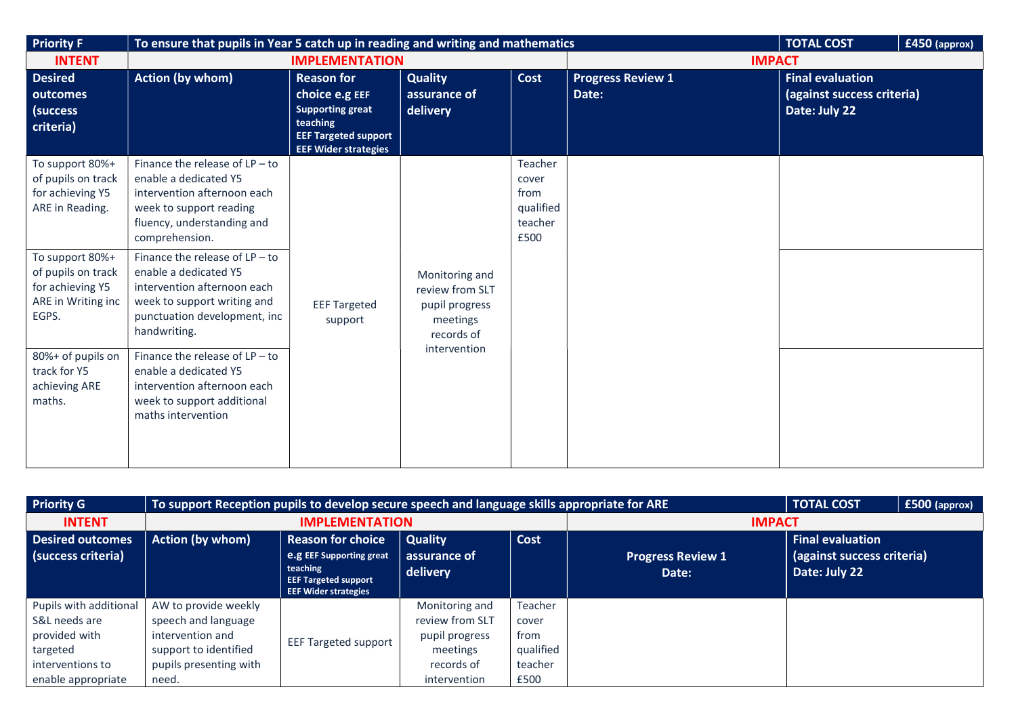| <b>Priority F</b>                                                                        | To ensure that pupils in Year 5 catch up in reading and writing and mathematics                                                                                         |                                                                                                                                          |                                                                                               |                                                          | <b>TOTAL COST</b><br>£450 (approx) |                                                                        |  |
|------------------------------------------------------------------------------------------|-------------------------------------------------------------------------------------------------------------------------------------------------------------------------|------------------------------------------------------------------------------------------------------------------------------------------|-----------------------------------------------------------------------------------------------|----------------------------------------------------------|------------------------------------|------------------------------------------------------------------------|--|
| <b>INTENT</b>                                                                            |                                                                                                                                                                         | <b>IMPLEMENTATION</b>                                                                                                                    |                                                                                               |                                                          | <b>IMPACT</b>                      |                                                                        |  |
| <b>Desired</b><br>outcomes<br>(success<br>criteria)                                      | <b>Action (by whom)</b>                                                                                                                                                 | <b>Reason for</b><br>choice e.g EEF<br><b>Supporting great</b><br>teaching<br><b>EEF Targeted support</b><br><b>EEF Wider strategies</b> | <b>Quality</b><br>assurance of<br>delivery                                                    | Cost                                                     | <b>Progress Review 1</b><br>Date:  | <b>Final evaluation</b><br>(against success criteria)<br>Date: July 22 |  |
| To support 80%+<br>of pupils on track<br>for achieving Y5<br>ARE in Reading.             | Finance the release of $LP - to$<br>enable a dedicated Y5<br>intervention afternoon each<br>week to support reading<br>fluency, understanding and<br>comprehension.     |                                                                                                                                          |                                                                                               | Teacher<br>cover<br>from<br>qualified<br>teacher<br>£500 |                                    |                                                                        |  |
| To support 80%+<br>of pupils on track<br>for achieving Y5<br>ARE in Writing inc<br>EGPS. | Finance the release of $LP - to$<br>enable a dedicated Y5<br>intervention afternoon each<br>week to support writing and<br>punctuation development, inc<br>handwriting. | <b>EEF Targeted</b><br>support                                                                                                           | Monitoring and<br>review from SLT<br>pupil progress<br>meetings<br>records of<br>intervention |                                                          |                                    |                                                                        |  |
| 80%+ of pupils on<br>track for Y5<br>achieving ARE<br>maths.                             | Finance the release of $LP - to$<br>enable a dedicated Y5<br>intervention afternoon each<br>week to support additional<br>maths intervention                            |                                                                                                                                          |                                                                                               |                                                          |                                    |                                                                        |  |

| <b>Priority G</b>                                                                                              |                                                                                                                             | To support Reception pupils to develop secure speech and language skills appropriate for ARE<br><b>TOTAL COST</b>                     |                                                                                               |                                                          |                                   |                                                                        |  |  |  |
|----------------------------------------------------------------------------------------------------------------|-----------------------------------------------------------------------------------------------------------------------------|---------------------------------------------------------------------------------------------------------------------------------------|-----------------------------------------------------------------------------------------------|----------------------------------------------------------|-----------------------------------|------------------------------------------------------------------------|--|--|--|
| <b>INTENT</b>                                                                                                  |                                                                                                                             | <b>IMPLEMENTATION</b>                                                                                                                 |                                                                                               | <b>IMPACT</b>                                            |                                   |                                                                        |  |  |  |
| <b>Desired outcomes</b><br>(success criteria)                                                                  | <b>Action (by whom)</b>                                                                                                     | <b>Reason for choice</b><br><b>e.g</b> EEF Supporting great<br>teaching<br><b>EEF Targeted support</b><br><b>EEF Wider strategies</b> | <b>Quality</b><br>assurance of<br>delivery                                                    | Cost                                                     | <b>Progress Review 1</b><br>Date: | <b>Final evaluation</b><br>(against success criteria)<br>Date: July 22 |  |  |  |
| Pupils with additional<br>S&L needs are<br>provided with<br>targeted<br>interventions to<br>enable appropriate | AW to provide weekly<br>speech and language<br>intervention and<br>support to identified<br>pupils presenting with<br>need. | <b>EEF Targeted support</b>                                                                                                           | Monitoring and<br>review from SLT<br>pupil progress<br>meetings<br>records of<br>intervention | Teacher<br>cover<br>from<br>qualified<br>teacher<br>£500 |                                   |                                                                        |  |  |  |